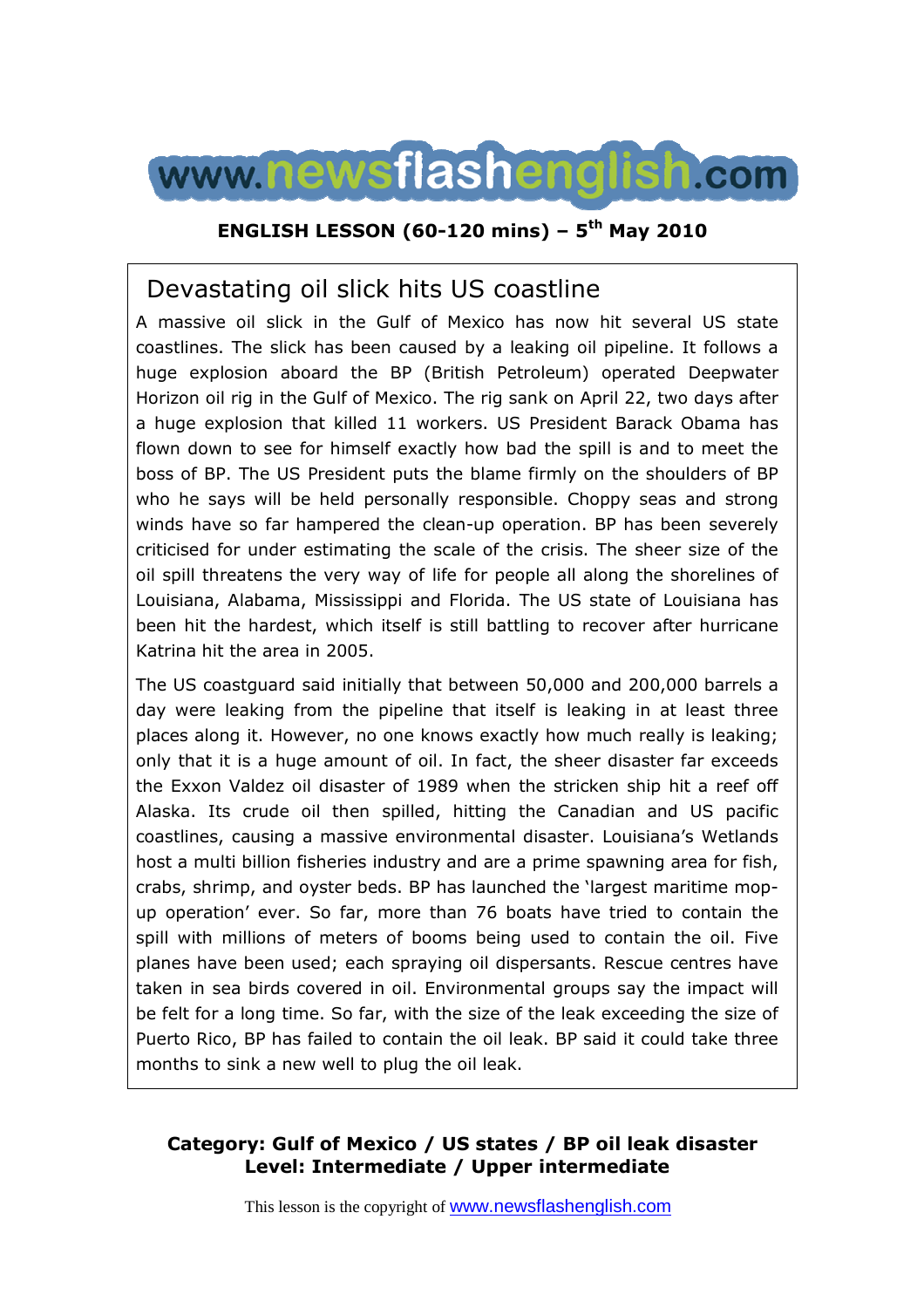

## **ENGLISH LESSON (60-120 mins) – 5th May 2010**

# Devastating oil slick hits US coastline

A massive oil slick in the Gulf of Mexico has now hit several US state coastlines. The slick has been caused by a leaking oil pipeline. It follows a huge explosion aboard the BP (British Petroleum) operated Deepwater Horizon oil rig in the Gulf of Mexico. The rig sank on April 22, two days after a huge explosion that killed 11 workers. US President Barack Obama has flown down to see for himself exactly how bad the spill is and to meet the boss of BP. The US President puts the blame firmly on the shoulders of BP who he says will be held personally responsible. Choppy seas and strong winds have so far hampered the clean-up operation. BP has been severely criticised for under estimating the scale of the crisis. The sheer size of the oil spill threatens the very way of life for people all along the shorelines of Louisiana, Alabama, Mississippi and Florida. The US state of Louisiana has been hit the hardest, which itself is still battling to recover after hurricane Katrina hit the area in 2005.

The US coastguard said initially that between 50,000 and 200,000 barrels a day were leaking from the pipeline that itself is leaking in at least three places along it. However, no one knows exactly how much really is leaking; only that it is a huge amount of oil. In fact, the sheer disaster far exceeds the Exxon Valdez oil disaster of 1989 when the stricken ship hit a reef off Alaska. Its crude oil then spilled, hitting the Canadian and US pacific coastlines, causing a massive environmental disaster. Louisiana's Wetlands host a multi billion fisheries industry and are a prime spawning area for fish, crabs, shrimp, and oyster beds. BP has launched the 'largest maritime mopup operation' ever. So far, more than 76 boats have tried to contain the spill with millions of meters of booms being used to contain the oil. Five planes have been used; each spraying oil dispersants. Rescue centres have taken in sea birds covered in oil. Environmental groups say the impact will be felt for a long time. So far, with the size of the leak exceeding the size of Puerto Rico, BP has failed to contain the oil leak. BP said it could take three months to sink a new well to plug the oil leak.

## **Category: Gulf of Mexico / US states / BP oil leak disaster Level: Intermediate / Upper intermediate**

This lesson is the copyright of www.newsflashenglish.com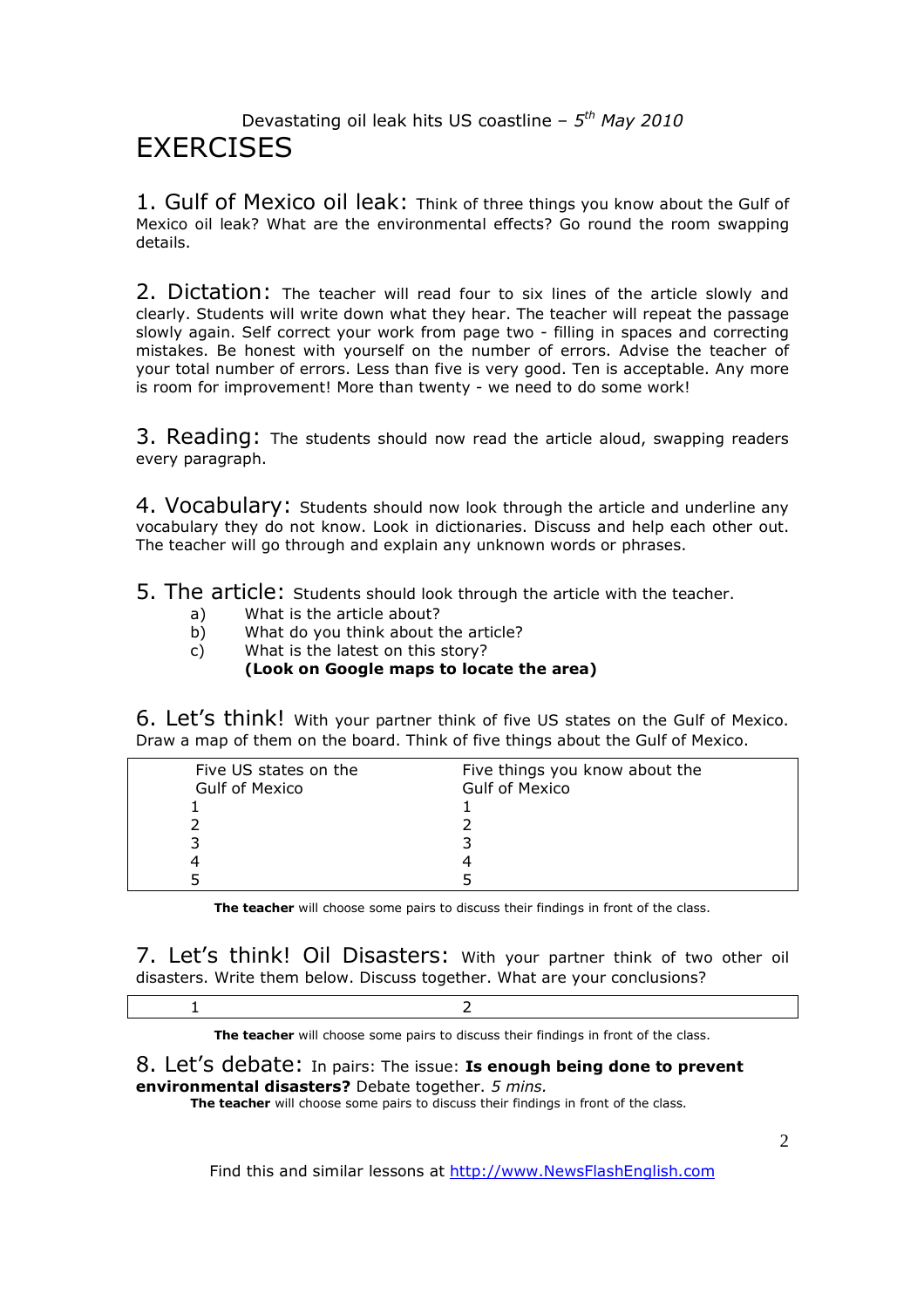## Devastating oil leak hits US coastline – *5 th May 2010* **FXFRCISES**

1. Gulf of Mexico oil leak: Think of three things you know about the Gulf of Mexico oil leak? What are the environmental effects? Go round the room swapping details.

2. Dictation: The teacher will read four to six lines of the article slowly and clearly. Students will write down what they hear. The teacher will repeat the passage slowly again. Self correct your work from page two - filling in spaces and correcting mistakes. Be honest with yourself on the number of errors. Advise the teacher of your total number of errors. Less than five is very good. Ten is acceptable. Any more is room for improvement! More than twenty - we need to do some work!

3. Reading: The students should now read the article aloud, swapping readers every paragraph.

4. Vocabulary: Students should now look through the article and underline any vocabulary they do not know. Look in dictionaries. Discuss and help each other out. The teacher will go through and explain any unknown words or phrases.

5. The article: Students should look through the article with the teacher.

- a) What is the article about?
- b) What do you think about the article?
- c) What is the latest on this story?

### **(Look on Google maps to locate the area)**

6. Let's think! With your partner think of five US states on the Gulf of Mexico. Draw a map of them on the board. Think of five things about the Gulf of Mexico.

| Five US states on the<br><b>Gulf of Mexico</b> | Five things you know about the<br><b>Gulf of Mexico</b> |  |
|------------------------------------------------|---------------------------------------------------------|--|
|                                                |                                                         |  |
|                                                |                                                         |  |
|                                                |                                                         |  |
|                                                |                                                         |  |
|                                                |                                                         |  |
|                                                |                                                         |  |

**The teacher** will choose some pairs to discuss their findings in front of the class.

7. Let's think! Oil Disasters: With your partner think of two other oil disasters. Write them below. Discuss together. What are your conclusions?

1 2

**The teacher** will choose some pairs to discuss their findings in front of the class.

### 8. Let's debate: In pairs: The issue: **Is enough being done to prevent environmental disasters?** Debate together. *5 mins.*

**The teacher** will choose some pairs to discuss their findings in front of the class.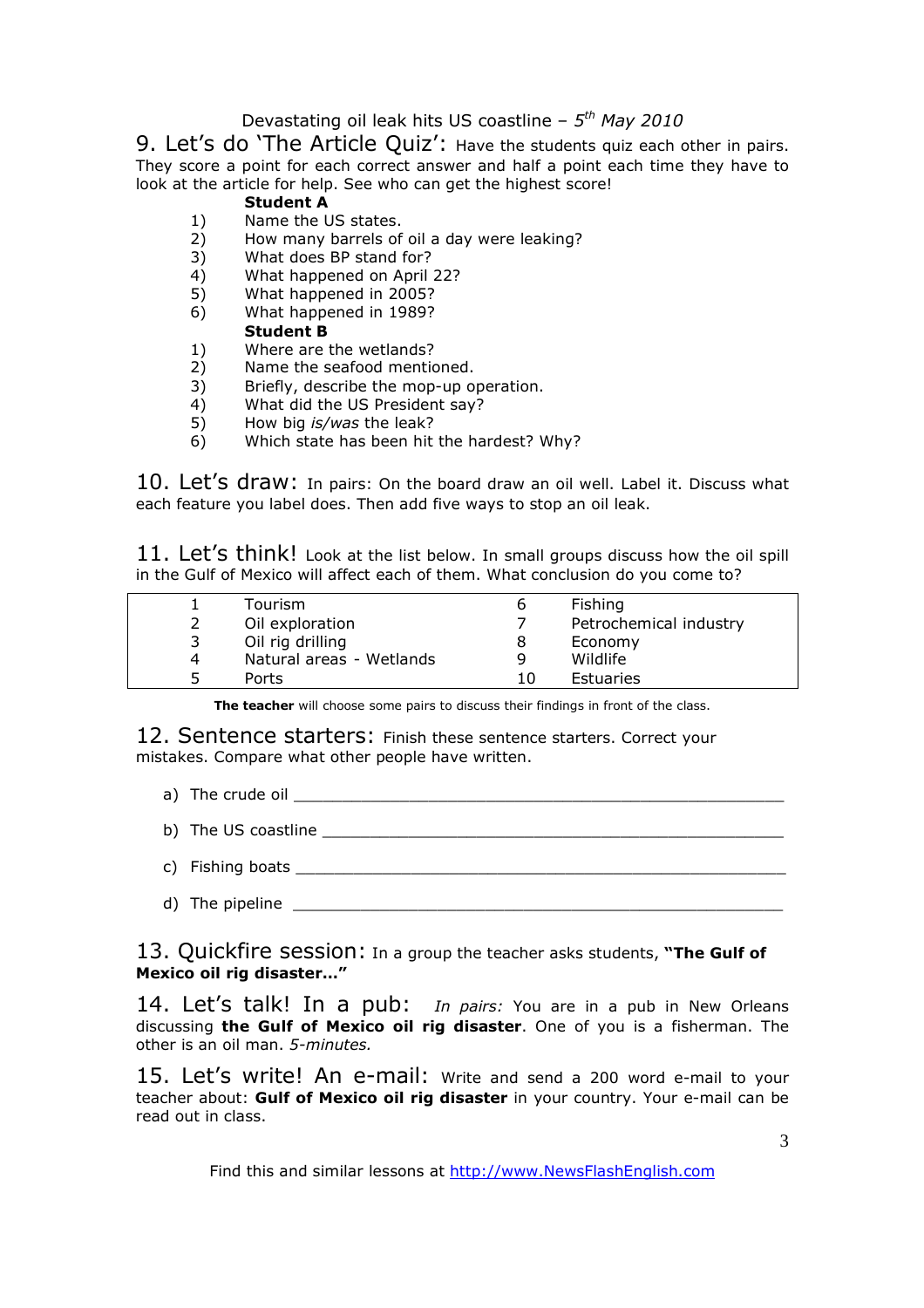### Devastating oil leak hits US coastline – *5 th May 2010*

9. Let's do 'The Article Quiz': Have the students quiz each other in pairs. They score a point for each correct answer and half a point each time they have to look at the article for help. See who can get the highest score!

### **Student A**

- 1) Name the US states.
- 2) How many barrels of oil a day were leaking?
- 3) What does BP stand for?
- 4) What happened on April 22?
- 5) What happened in 2005?
- 6) What happened in 1989? **Student B**
- 1) Where are the wetlands?
- 2) Name the seafood mentioned.<br>3) Briefly, describe the mop-up o
- Briefly, describe the mop-up operation.
- 4) What did the US President say?
- 5) How big *is/was* the leak?
- 6) Which state has been hit the hardest? Why?

10. Let's draw: In pairs: On the board draw an oil well. Label it. Discuss what each feature you label does. Then add five ways to stop an oil leak.

11. Let's think! Look at the list below. In small groups discuss how the oil spill in the Gulf of Mexico will affect each of them. What conclusion do you come to?

|   | Tourism                  | ь  | Fishing                |
|---|--------------------------|----|------------------------|
|   | Oil exploration          |    | Petrochemical industry |
|   | Oil rig drilling         | 8  | Economy                |
| 4 | Natural areas - Wetlands | q  | Wildlife               |
|   | Ports                    | 10 | Estuaries              |

**The teacher** will choose some pairs to discuss their findings in front of the class.

12. Sentence starters: Finish these sentence starters. Correct your mistakes. Compare what other people have written.

- a) The crude oil \_\_\_\_\_\_\_\_\_\_\_\_\_\_\_\_\_\_\_\_\_\_\_\_\_\_\_\_\_\_\_\_\_\_\_\_\_\_\_\_\_\_\_\_\_\_\_\_\_\_\_
- b) The US coastline  $\Box$
- c) Fishing boats \_
- d) The pipeline \_\_\_\_\_\_\_\_\_\_\_\_\_\_\_\_\_\_\_\_\_\_\_\_\_\_\_\_\_\_\_\_\_\_\_\_\_\_\_\_\_\_\_\_\_\_\_\_\_\_\_

13. Quickfire session: In a group the teacher asks students, **"The Gulf of Mexico oil rig disaster…"**

14. Let's talk! In a pub: *In pairs:* You are in a pub in New Orleans discussing **the Gulf of Mexico oil rig disaster**. One of you is a fisherman. The other is an oil man. *5-minutes.* 

15. Let's write! An e-mail: Write and send a 200 word e-mail to your teacher about: **Gulf of Mexico oil rig disaster** in your country. Your e-mail can be read out in class.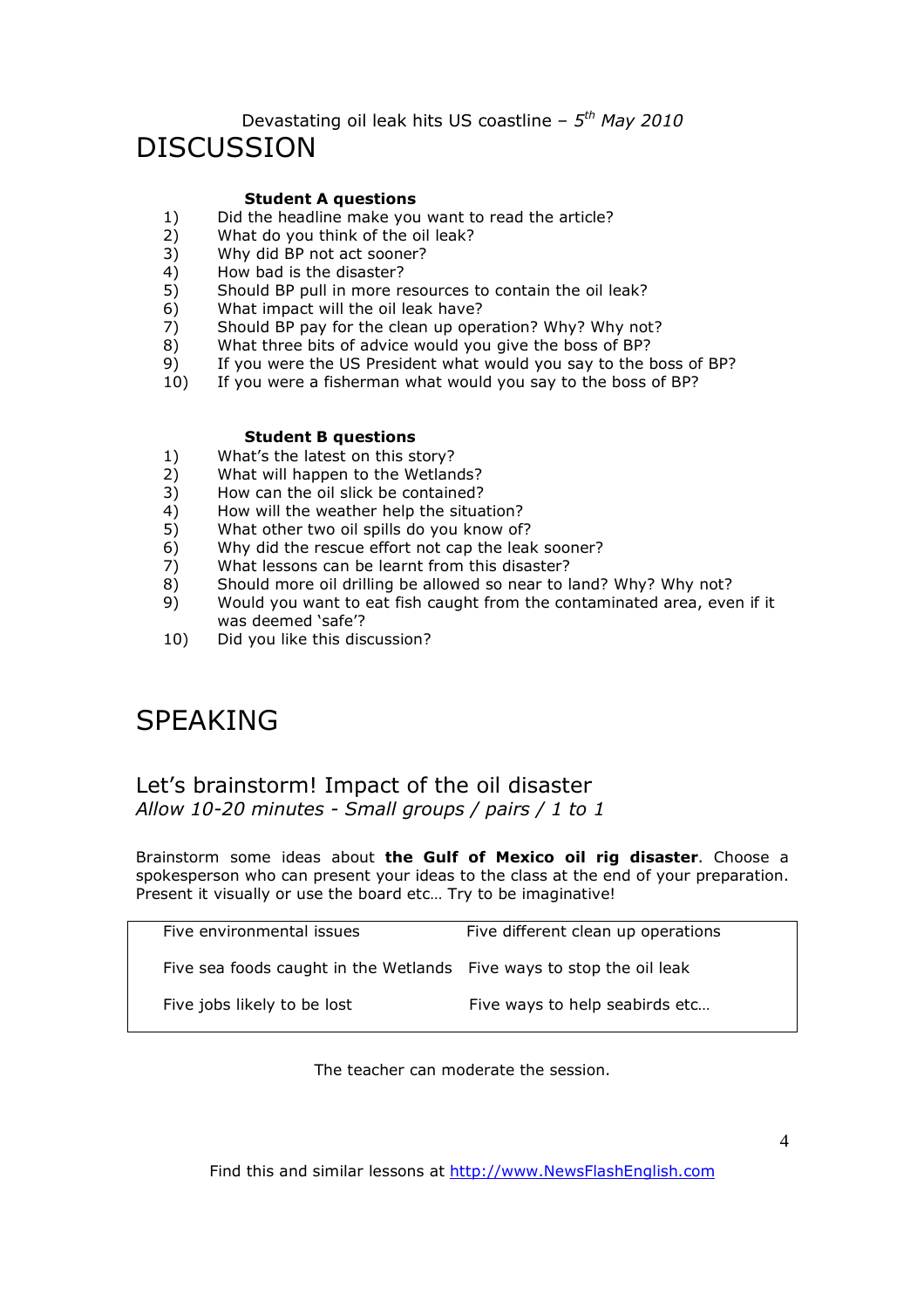# Devastating oil leak hits US coastline – *5 th May 2010*

# DISCUSSION

### **Student A questions**

- 1) Did the headline make you want to read the article?<br>2) What do you think of the oil leak?
- What do you think of the oil leak?
- 3) Why did BP not act sooner?
- 4) How bad is the disaster?<br>5) Should BP pull in more re
- 5) Should BP pull in more resources to contain the oil leak?
- 6) What impact will the oil leak have?
- 7) Should BP pay for the clean up operation? Why? Why not?
- 8) What three bits of advice would you give the boss of BP?
- 9) If you were the US President what would you say to the boss of BP?
- 10) If you were a fisherman what would you say to the boss of BP?

#### **Student B questions**

- 1) What's the latest on this story?
- 2) What will happen to the Wetlands?
- 3) How can the oil slick be contained?
- 4) How will the weather help the situation?<br>5) What other two oil spills do you know of
- 5) What other two oil spills do you know of?
- 6) Why did the rescue effort not cap the leak sooner?
- 7) What lessons can be learnt from this disaster?
- 8) Should more oil drilling be allowed so near to land? Why? Why not?<br>9) Would you want to eat fish caught from the contaminated area, eve
- Would you want to eat fish caught from the contaminated area, even if it was deemed 'safe'?
- 10) Did you like this discussion?

# SPEAKING

## Let's brainstorm! Impact of the oil disaster *Allow 10-20 minutes - Small groups / pairs / 1 to 1*

Brainstorm some ideas about **the Gulf of Mexico oil rig disaster**. Choose a spokesperson who can present your ideas to the class at the end of your preparation. Present it visually or use the board etc… Try to be imaginative!

| Five environmental issues                                            | Five different clean up operations |
|----------------------------------------------------------------------|------------------------------------|
| Five sea foods caught in the Wetlands Five ways to stop the oil leak |                                    |
| Five jobs likely to be lost                                          | Five ways to help seabirds etc     |

The teacher can moderate the session.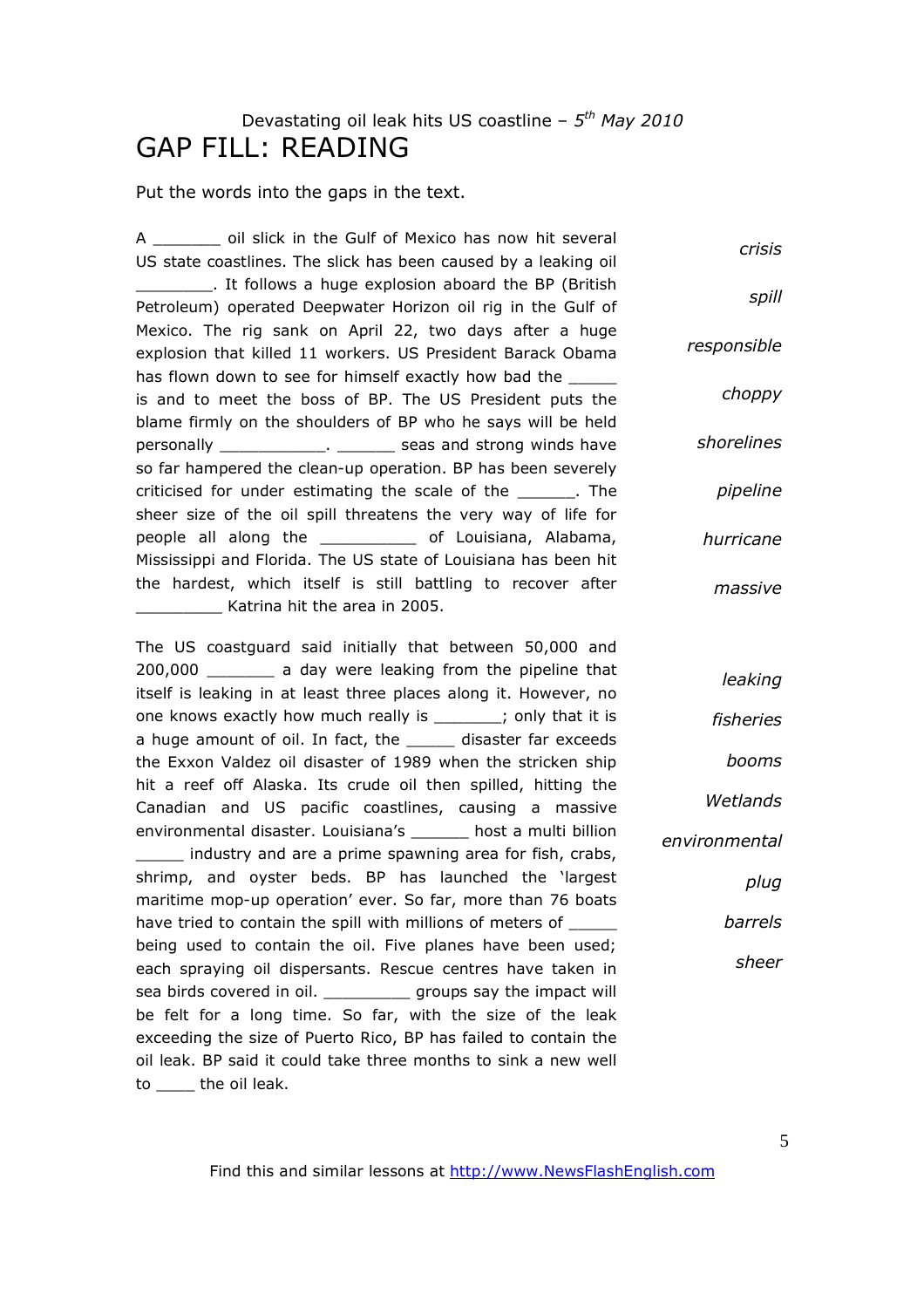# Devastating oil leak hits US coastline – *5 th May 2010* GAP FILL: READING

Put the words into the gaps in the text.

A \_\_\_\_\_\_\_ oil slick in the Gulf of Mexico has now hit several US state coastlines. The slick has been caused by a leaking oil \_\_\_\_\_\_\_\_. It follows a huge explosion aboard the BP (British Petroleum) operated Deepwater Horizon oil rig in the Gulf of Mexico. The rig sank on April 22, two days after a huge explosion that killed 11 workers. US President Barack Obama has flown down to see for himself exactly how bad the is and to meet the boss of BP. The US President puts the blame firmly on the shoulders of BP who he says will be held personally \_\_\_\_\_\_\_\_\_\_\_\_\_. \_\_\_\_\_\_\_ seas and strong winds have so far hampered the clean-up operation. BP has been severely criticised for under estimating the scale of the The sheer size of the oil spill threatens the very way of life for people all along the \_\_\_\_\_\_\_\_\_\_ of Louisiana, Alabama, Mississippi and Florida. The US state of Louisiana has been hit the hardest, which itself is still battling to recover after \_\_\_\_\_\_\_\_\_ Katrina hit the area in 2005. *crisis spill responsible choppy shorelines pipeline hurricane massive*

The US coastguard said initially that between 50,000 and 200,000 \_\_\_\_\_\_\_ a day were leaking from the pipeline that itself is leaking in at least three places along it. However, no one knows exactly how much really is \_\_\_\_\_\_; only that it is a huge amount of oil. In fact, the disaster far exceeds the Exxon Valdez oil disaster of 1989 when the stricken ship hit a reef off Alaska. Its crude oil then spilled, hitting the Canadian and US pacific coastlines, causing a massive environmental disaster. Louisiana's \_\_\_\_\_\_ host a multi billion \_\_\_\_\_ industry and are a prime spawning area for fish, crabs, shrimp, and oyster beds. BP has launched the 'largest maritime mop-up operation' ever. So far, more than 76 boats have tried to contain the spill with millions of meters of \_\_\_\_\_ being used to contain the oil. Five planes have been used; each spraying oil dispersants. Rescue centres have taken in sea birds covered in oil. The same groups say the impact will be felt for a long time. So far, with the size of the leak exceeding the size of Puerto Rico, BP has failed to contain the oil leak. BP said it could take three months to sink a new well to the oil leak.

*leaking fisheries booms Wetlands environmental plug barrels sheer*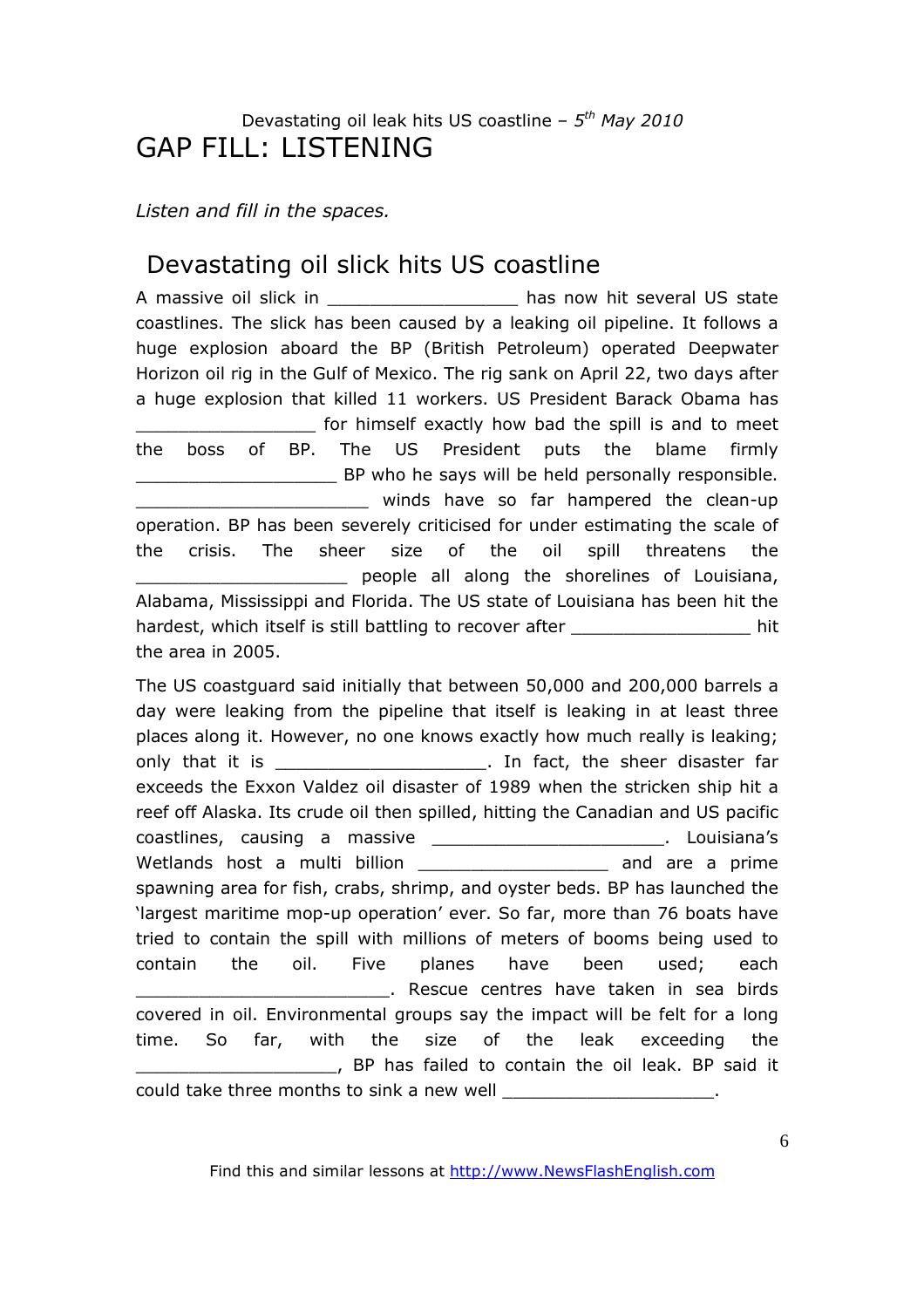# Devastating oil leak hits US coastline – *5 th May 2010* GAP FILL: LISTENING

## *Listen and fill in the spaces.*

# Devastating oil slick hits US coastline

A massive oil slick in example to the has now hit several US state coastlines. The slick has been caused by a leaking oil pipeline. It follows a huge explosion aboard the BP (British Petroleum) operated Deepwater Horizon oil rig in the Gulf of Mexico. The rig sank on April 22, two days after a huge explosion that killed 11 workers. US President Barack Obama has \_\_\_\_\_\_\_\_\_\_\_\_\_\_\_\_\_ for himself exactly how bad the spill is and to meet the boss of BP. The US President puts the blame firmly BP who he says will be held personally responsible. \_\_\_\_\_\_\_\_\_\_\_\_\_\_\_\_\_\_\_\_\_\_ winds have so far hampered the clean-up operation. BP has been severely criticised for under estimating the scale of the crisis. The sheer size of the oil spill threatens the \_\_\_\_\_\_\_\_\_\_\_\_\_\_\_\_\_\_\_\_ people all along the shorelines of Louisiana, Alabama, Mississippi and Florida. The US state of Louisiana has been hit the hardest, which itself is still battling to recover after **the summan value of the state of the state** hit the area in 2005.

The US coastguard said initially that between 50,000 and 200,000 barrels a day were leaking from the pipeline that itself is leaking in at least three places along it. However, no one knows exactly how much really is leaking; only that it is example that it is the sheer disaster far exceeds the Exxon Valdez oil disaster of 1989 when the stricken ship hit a reef off Alaska. Its crude oil then spilled, hitting the Canadian and US pacific coastlines, causing a massive \_\_\_\_\_\_\_\_\_\_\_\_\_\_\_\_\_\_\_\_\_\_\_\_\_\_\_. Louisiana's Wetlands host a multi billion **witch the manufax and are a prime** spawning area for fish, crabs, shrimp, and oyster beds. BP has launched the 'largest maritime mop-up operation' ever. So far, more than 76 boats have tried to contain the spill with millions of meters of booms being used to contain the oil. Five planes have been used; each \_\_\_\_\_\_\_\_\_\_\_\_\_\_\_\_\_\_\_\_\_\_\_\_. Rescue centres have taken in sea birds covered in oil. Environmental groups say the impact will be felt for a long time. So far, with the size of the leak exceeding the \_\_\_\_\_\_\_\_\_\_\_\_\_\_\_\_\_\_\_, BP has failed to contain the oil leak. BP said it could take three months to sink a new well \_\_\_\_\_\_\_\_\_\_\_\_\_\_\_\_\_\_\_\_\_\_\_.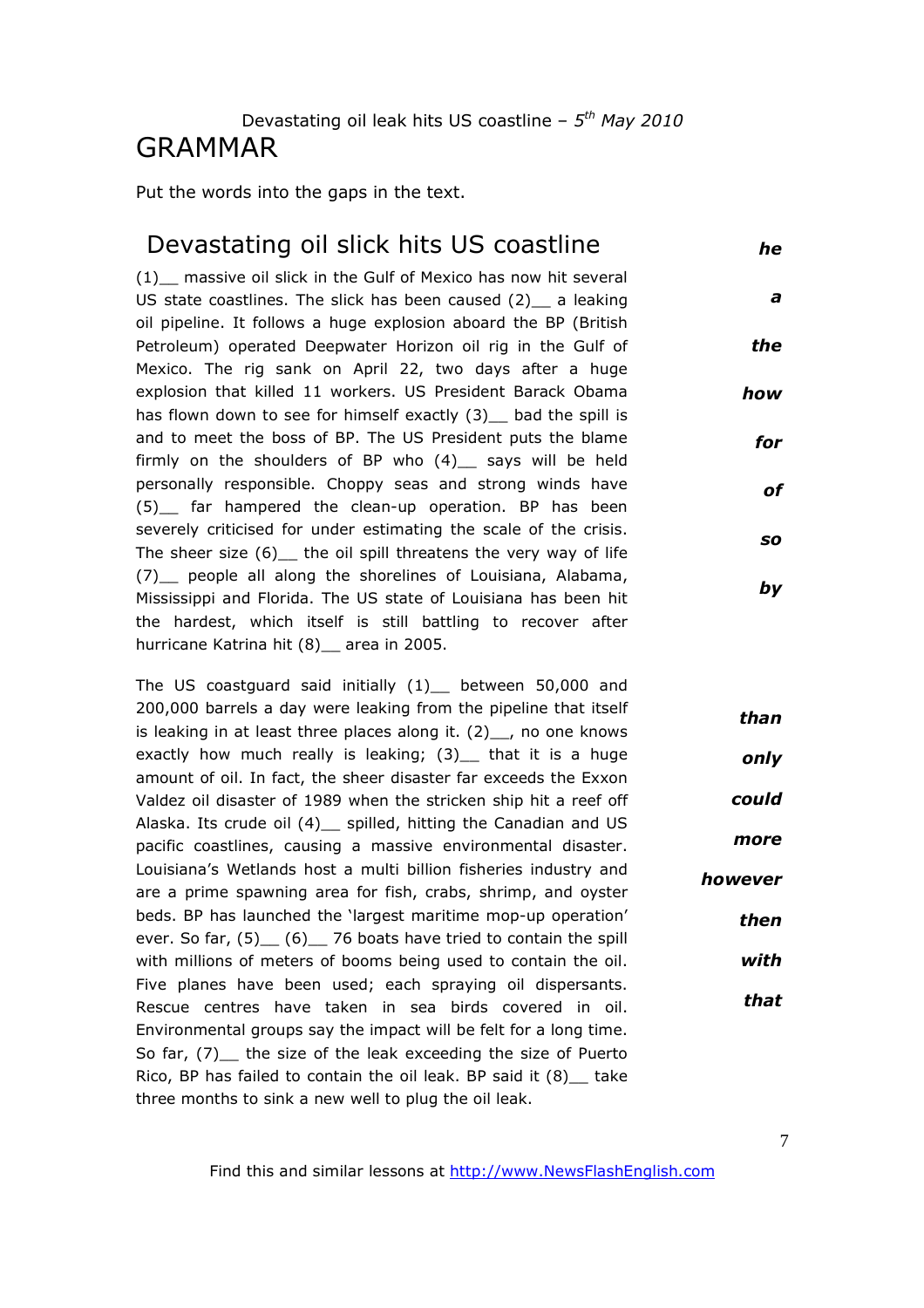## Devastating oil leak hits US coastline – *5 th May 2010* GRAMMAR

Put the words into the gaps in the text.

## Devastating oil slick hits US coastline

(1)\_\_ massive oil slick in the Gulf of Mexico has now hit several US state coastlines. The slick has been caused (2) a leaking oil pipeline. It follows a huge explosion aboard the BP (British Petroleum) operated Deepwater Horizon oil rig in the Gulf of Mexico. The rig sank on April 22, two days after a huge explosion that killed 11 workers. US President Barack Obama has flown down to see for himself exactly (3) bad the spill is and to meet the boss of BP. The US President puts the blame firmly on the shoulders of BP who  $(4)$  says will be held personally responsible. Choppy seas and strong winds have (5)\_\_ far hampered the clean-up operation. BP has been severely criticised for under estimating the scale of the crisis. The sheer size  $(6)$  the oil spill threatens the very way of life (7)\_\_ people all along the shorelines of Louisiana, Alabama, Mississippi and Florida. The US state of Louisiana has been hit the hardest, which itself is still battling to recover after hurricane Katrina hit (8) area in 2005.

The US coastguard said initially (1) between 50,000 and 200,000 barrels a day were leaking from the pipeline that itself is leaking in at least three places along it.  $(2)$ , no one knows exactly how much really is leaking; (3)\_ that it is a huge amount of oil. In fact, the sheer disaster far exceeds the Exxon Valdez oil disaster of 1989 when the stricken ship hit a reef off Alaska. Its crude oil (4) spilled, hitting the Canadian and US pacific coastlines, causing a massive environmental disaster. Louisiana's Wetlands host a multi billion fisheries industry and are a prime spawning area for fish, crabs, shrimp, and oyster beds. BP has launched the 'largest maritime mop-up operation' ever. So far,  $(5)$   $(6)$  76 boats have tried to contain the spill with millions of meters of booms being used to contain the oil. Five planes have been used; each spraying oil dispersants. Rescue centres have taken in sea birds covered in oil. Environmental groups say the impact will be felt for a long time. So far, (7)\_\_ the size of the leak exceeding the size of Puerto Rico, BP has failed to contain the oil leak. BP said it (8)\_\_ take three months to sink a new well to plug the oil leak. *than only could more however then with that*

Find this and similar lessons at http://www.NewsFlashEnglish.com

*he*

*a*

*the*

*how*

*for*

*of*

*so*

*by*